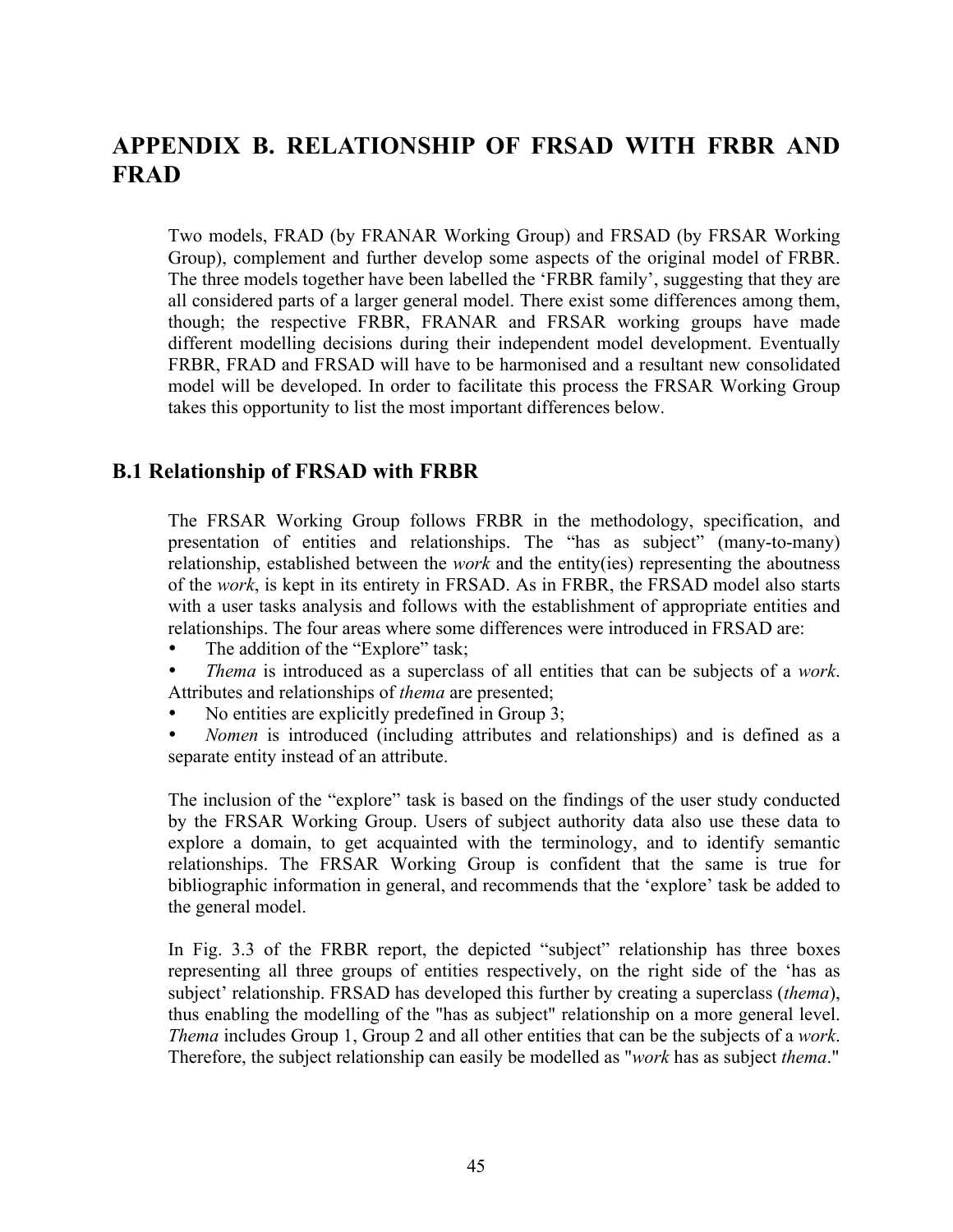# **APPENDIX B. RELATIONSHIP OF FRSAD WITH FRBR AND FRAD**

Two models, FRAD (by FRANAR Working Group) and FRSAD (by FRSAR Working Group), complement and further develop some aspects of the original model of FRBR. The three models together have been labelled the 'FRBR family', suggesting that they are all considered parts of a larger general model. There exist some differences among them, though; the respective FRBR, FRANAR and FRSAR working groups have made different modelling decisions during their independent model development. Eventually FRBR, FRAD and FRSAD will have to be harmonised and a resultant new consolidated model will be developed. In order to facilitate this process the FRSAR Working Group takes this opportunity to list the most important differences below.

### **B.1 Relationship of FRSAD with FRBR**

The FRSAR Working Group follows FRBR in the methodology, specification, and presentation of entities and relationships. The "has as subject" (many-to-many) relationship, established between the *work* and the entity(ies) representing the aboutness of the *work*, is kept in its entirety in FRSAD. As in FRBR, the FRSAD model also starts with a user tasks analysis and follows with the establishment of appropriate entities and relationships. The four areas where some differences were introduced in FRSAD are:

- The addition of the "Explore" task;
- *Thema* is introduced as a superclass of all entities that can be subjects of a *work*. Attributes and relationships of *thema* are presented;
- No entities are explicitly predefined in Group 3;
- *Nomen* is introduced (including attributes and relationships) and is defined as a separate entity instead of an attribute.

The inclusion of the "explore" task is based on the findings of the user study conducted by the FRSAR Working Group. Users of subject authority data also use these data to explore a domain, to get acquainted with the terminology, and to identify semantic relationships. The FRSAR Working Group is confident that the same is true for bibliographic information in general, and recommends that the 'explore' task be added to the general model.

In Fig. 3.3 of the FRBR report, the depicted "subject" relationship has three boxes representing all three groups of entities respectively, on the right side of the 'has as subject' relationship. FRSAD has developed this further by creating a superclass (*thema*), thus enabling the modelling of the "has as subject" relationship on a more general level. *Thema* includes Group 1, Group 2 and all other entities that can be the subjects of a *work*. Therefore, the subject relationship can easily be modelled as "*work* has as subject *thema*."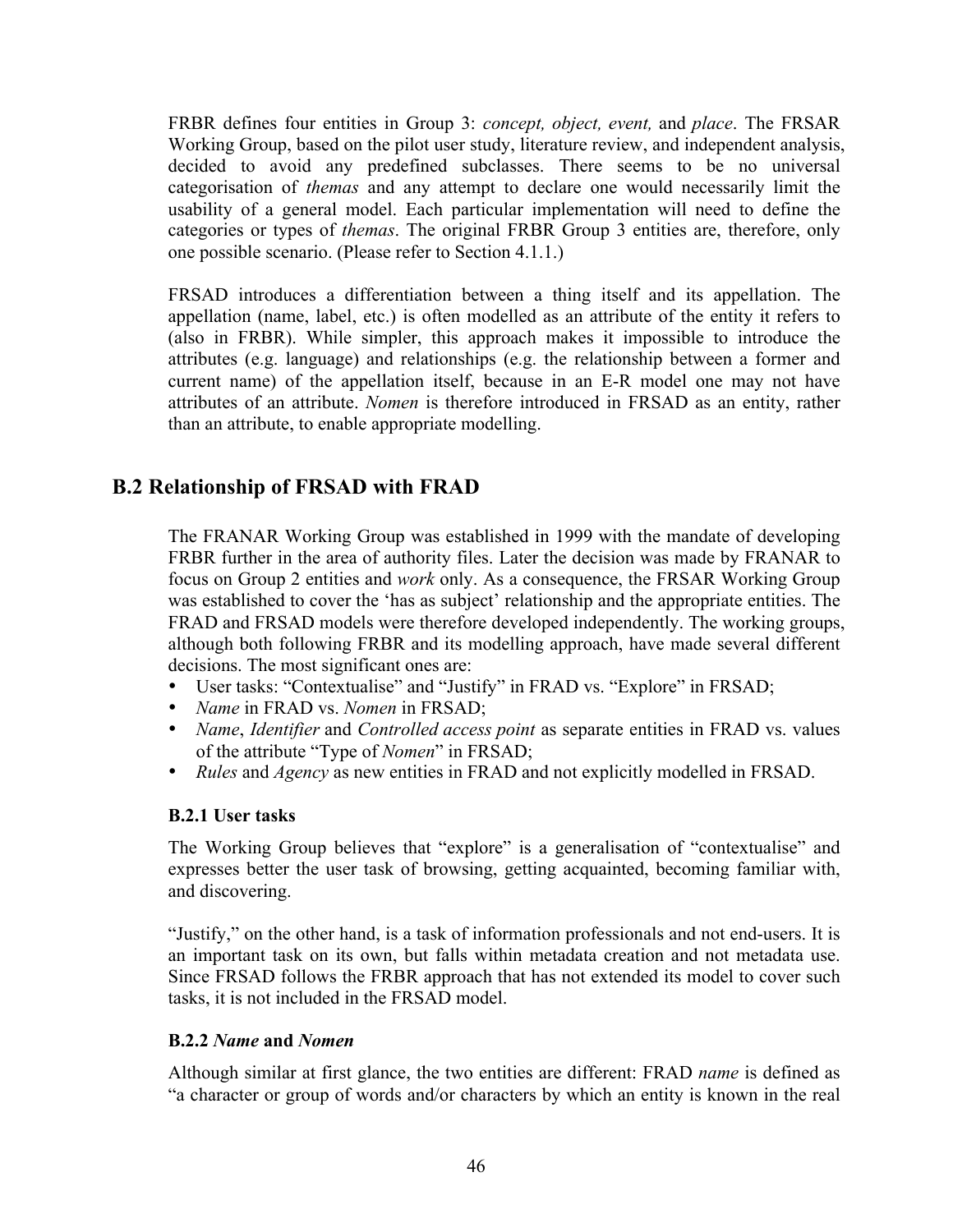FRBR defines four entities in Group 3: *concept, object, event,* and *place*. The FRSAR Working Group, based on the pilot user study, literature review, and independent analysis, decided to avoid any predefined subclasses. There seems to be no universal categorisation of *themas* and any attempt to declare one would necessarily limit the usability of a general model. Each particular implementation will need to define the categories or types of *themas*. The original FRBR Group 3 entities are, therefore, only one possible scenario. (Please refer to Section 4.1.1.)

FRSAD introduces a differentiation between a thing itself and its appellation. The appellation (name, label, etc.) is often modelled as an attribute of the entity it refers to (also in FRBR). While simpler, this approach makes it impossible to introduce the attributes (e.g. language) and relationships (e.g. the relationship between a former and current name) of the appellation itself, because in an E-R model one may not have attributes of an attribute. *Nomen* is therefore introduced in FRSAD as an entity, rather than an attribute, to enable appropriate modelling.

## **B.2 Relationship of FRSAD with FRAD**

The FRANAR Working Group was established in 1999 with the mandate of developing FRBR further in the area of authority files. Later the decision was made by FRANAR to focus on Group 2 entities and *work* only. As a consequence, the FRSAR Working Group was established to cover the 'has as subject' relationship and the appropriate entities. The FRAD and FRSAD models were therefore developed independently. The working groups, although both following FRBR and its modelling approach, have made several different decisions. The most significant ones are:

- User tasks: "Contextualise" and "Justify" in FRAD vs. "Explore" in FRSAD;
- *Name* in FRAD vs. *Nomen* in FRSAD;
- *Name*, *Identifier* and *Controlled access point* as separate entities in FRAD vs. values of the attribute "Type of *Nomen*" in FRSAD;
- *Rules* and *Agency* as new entities in FRAD and not explicitly modelled in FRSAD.

#### **B.2.1 User tasks**

The Working Group believes that "explore" is a generalisation of "contextualise" and expresses better the user task of browsing, getting acquainted, becoming familiar with, and discovering.

"Justify," on the other hand, is a task of information professionals and not end-users. It is an important task on its own, but falls within metadata creation and not metadata use. Since FRSAD follows the FRBR approach that has not extended its model to cover such tasks, it is not included in the FRSAD model.

#### **B.2.2** *Name* **and** *Nomen*

Although similar at first glance, the two entities are different: FRAD *name* is defined as "a character or group of words and/or characters by which an entity is known in the real